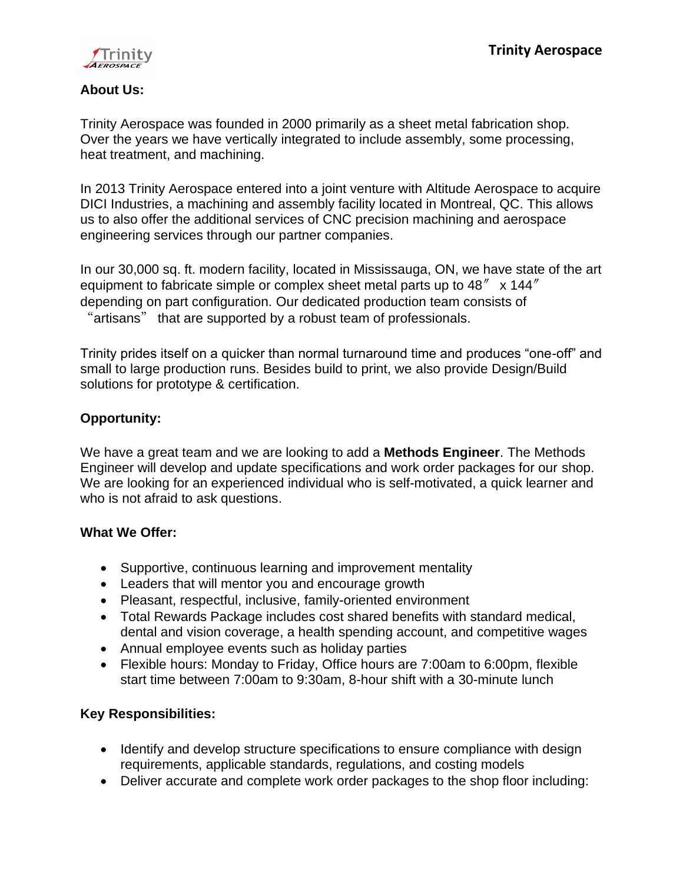

#### **About Us:**

Trinity Aerospace was founded in 2000 primarily as a sheet metal fabrication shop. Over the years we have vertically integrated to include assembly, some processing, heat treatment, and machining.

In 2013 Trinity Aerospace entered into a joint venture with Altitude Aerospace to acquire DICI Industries, a machining and assembly facility located in Montreal, QC. This allows us to also offer the additional services of CNC precision machining and aerospace engineering services through our partner companies.

In our 30,000 sq. ft. modern facility, located in Mississauga, ON, we have state of the art equipment to fabricate simple or complex sheet metal parts up to  $48'' \times 144''$ depending on part configuration. Our dedicated production team consists of "artisans" that are supported by a robust team of professionals.

Trinity prides itself on a quicker than normal turnaround time and produces "one-off" and small to large production runs. Besides build to print, we also provide Design/Build solutions for prototype & certification.

## **Opportunity:**

We have a great team and we are looking to add a **Methods Engineer**. The Methods Engineer will develop and update specifications and work order packages for our shop. We are looking for an experienced individual who is self-motivated, a quick learner and who is not afraid to ask questions.

## **What We Offer:**

- Supportive, continuous learning and improvement mentality
- Leaders that will mentor you and encourage growth
- Pleasant, respectful, inclusive, family-oriented environment
- Total Rewards Package includes cost shared benefits with standard medical, dental and vision coverage, a health spending account, and competitive wages
- Annual employee events such as holiday parties
- Flexible hours: Monday to Friday, Office hours are 7:00am to 6:00pm, flexible start time between 7:00am to 9:30am, 8-hour shift with a 30-minute lunch

## **Key Responsibilities:**

- Identify and develop structure specifications to ensure compliance with design requirements, applicable standards, regulations, and costing models
- Deliver accurate and complete work order packages to the shop floor including: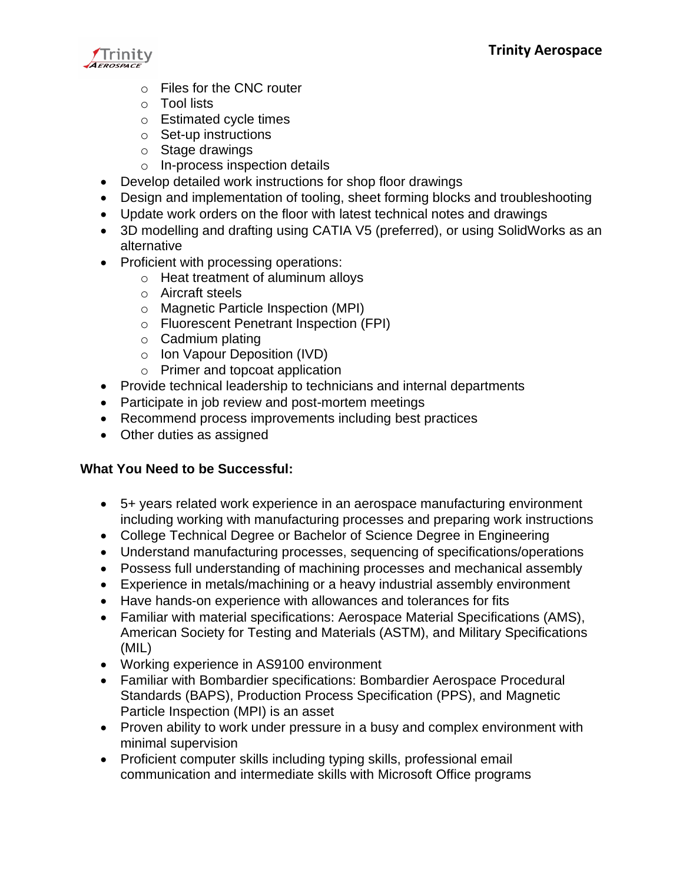

- o Files for the CNC router
- o Tool lists
- o Estimated cycle times
- o Set-up instructions
- o Stage drawings
- o In-process inspection details
- Develop detailed work instructions for shop floor drawings
- Design and implementation of tooling, sheet forming blocks and troubleshooting
- Update work orders on the floor with latest technical notes and drawings
- 3D modelling and drafting using CATIA V5 (preferred), or using SolidWorks as an alternative
- Proficient with processing operations:
	- o Heat treatment of aluminum alloys
	- o Aircraft steels
	- o Magnetic Particle Inspection (MPI)
	- o Fluorescent Penetrant Inspection (FPI)
	- $\circ$  Cadmium plating
	- o Ion Vapour Deposition (IVD)
	- o Primer and topcoat application
- Provide technical leadership to technicians and internal departments
- Participate in job review and post-mortem meetings
- Recommend process improvements including best practices
- Other duties as assigned

#### **What You Need to be Successful:**

- 5+ years related work experience in an aerospace manufacturing environment including working with manufacturing processes and preparing work instructions
- College Technical Degree or Bachelor of Science Degree in Engineering
- Understand manufacturing processes, sequencing of specifications/operations
- Possess full understanding of machining processes and mechanical assembly
- Experience in metals/machining or a heavy industrial assembly environment
- Have hands-on experience with allowances and tolerances for fits
- Familiar with material specifications: Aerospace Material Specifications (AMS), American Society for Testing and Materials (ASTM), and Military Specifications (MIL)
- Working experience in AS9100 environment
- Familiar with Bombardier specifications: Bombardier Aerospace Procedural Standards (BAPS), Production Process Specification (PPS), and Magnetic Particle Inspection (MPI) is an asset
- Proven ability to work under pressure in a busy and complex environment with minimal supervision
- Proficient computer skills including typing skills, professional email communication and intermediate skills with Microsoft Office programs